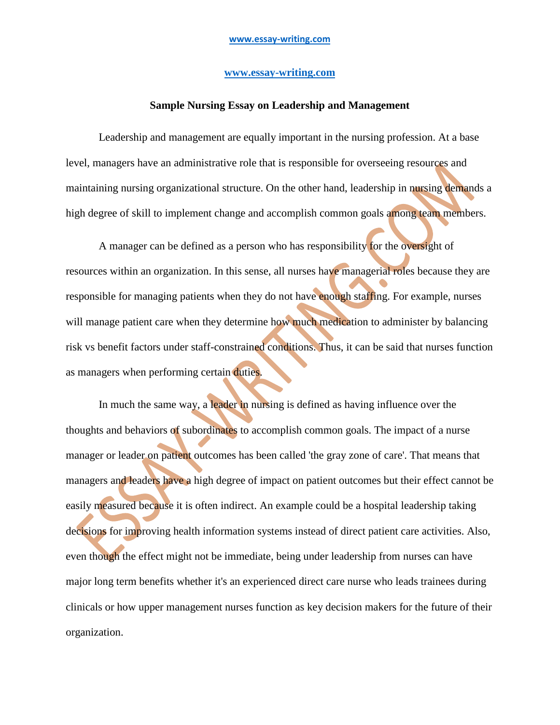## **[www.essay-writing.com](http://www.essay-writing.com/)**

## **Sample Nursing Essay on Leadership and Management**

Leadership and management are equally important in the nursing profession. At a base level, managers have an administrative role that is responsible for overseeing resources and maintaining nursing organizational structure. On the other hand, leadership in nursing demands a high degree of skill to implement change and accomplish common goals among team members.

A manager can be defined as a person who has responsibility for the oversight of resources within an organization. In this sense, all nurses have managerial roles because they are responsible for managing patients when they do not have enough staffing. For example, nurses will manage patient care when they determine how much medication to administer by balancing risk vs benefit factors under staff-constrained conditions. Thus, it can be said that nurses function as managers when performing certain duties.

In much the same way, a leader in nursing is defined as having influence over the thoughts and behaviors of subordinates to accomplish common goals. The impact of a nurse manager or leader on patient outcomes has been called 'the gray zone of care'. That means that managers and leaders have a high degree of impact on patient outcomes but their effect cannot be easily measured because it is often indirect. An example could be a hospital leadership taking decisions for improving health information systems instead of direct patient care activities. Also, even though the effect might not be immediate, being under leadership from nurses can have major long term benefits whether it's an experienced direct care nurse who leads trainees during clinicals or how upper management nurses function as key decision makers for the future of their organization.